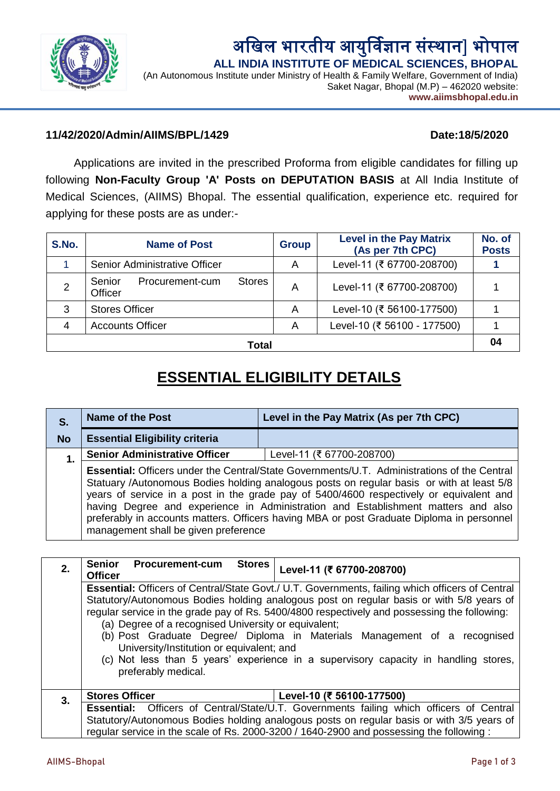

अखिल भारतीय आयुर्विज्ञान संस्थान] भोपाल  **ALL INDIA INSTITUTE OF MEDICAL SCIENCES, BHOPAL**

(An Autonomous Institute under Ministry of Health & Family Welfare, Government of India) Saket Nagar, Bhopal (M.P) – 462020 website: **www.aiimsbhopal.edu.in**

# **11/42/2020/Admin/AIIMS/BPL/1429 Date:18/5/2020**

Applications are invited in the prescribed Proforma from eligible candidates for filling up following **Non-Faculty Group 'A' Posts on DEPUTATION BASIS** at All India Institute of Medical Sciences, (AIIMS) Bhopal. The essential qualification, experience etc. required for applying for these posts are as under:-

| S.No.          | <b>Name of Post</b>                                   | <b>Group</b> | <b>Level in the Pay Matrix</b><br>(As per 7th CPC) | No. of<br><b>Posts</b> |
|----------------|-------------------------------------------------------|--------------|----------------------------------------------------|------------------------|
|                | Senior Administrative Officer                         | A            | Level-11 (₹ 67700-208700)                          |                        |
| $\overline{2}$ | Senior<br><b>Stores</b><br>Procurement-cum<br>Officer | A            | Level-11 (₹ 67700-208700)                          |                        |
| 3              | <b>Stores Officer</b>                                 | Α            | Level-10 (₹ 56100-177500)                          |                        |
| 4              | <b>Accounts Officer</b>                               | A            | Level-10 (₹ 56100 - 177500)                        |                        |
| Total          |                                                       |              |                                                    |                        |

# **ESSENTIAL ELIGIBILITY DETAILS**

| S.        | <b>Name of the Post</b>                                                                                                                                                                                                                                                                                                                                                                                                                                                                                              | Level in the Pay Matrix (As per 7th CPC) |  |  |
|-----------|----------------------------------------------------------------------------------------------------------------------------------------------------------------------------------------------------------------------------------------------------------------------------------------------------------------------------------------------------------------------------------------------------------------------------------------------------------------------------------------------------------------------|------------------------------------------|--|--|
| <b>No</b> | <b>Essential Eligibility criteria</b>                                                                                                                                                                                                                                                                                                                                                                                                                                                                                |                                          |  |  |
| 1.        | <b>Senior Administrative Officer</b>                                                                                                                                                                                                                                                                                                                                                                                                                                                                                 | Level-11 (₹ 67700-208700)                |  |  |
|           | <b>Essential:</b> Officers under the Central/State Governments/U.T. Administrations of the Central<br>Statuary /Autonomous Bodies holding analogous posts on regular basis or with at least 5/8<br>years of service in a post in the grade pay of 5400/4600 respectively or equivalent and<br>having Degree and experience in Administration and Establishment matters and also<br>preferably in accounts matters. Officers having MBA or post Graduate Diploma in personnel<br>management shall be given preference |                                          |  |  |

| 2. | <b>Procurement-cum</b><br><b>Senior</b><br><b>Stores</b><br><b>Officer</b>                                                                                                                                                                                                                                                                                                                                                                                                                                                                                                  | Level-11 (₹ 67700-208700) |  |  |  |
|----|-----------------------------------------------------------------------------------------------------------------------------------------------------------------------------------------------------------------------------------------------------------------------------------------------------------------------------------------------------------------------------------------------------------------------------------------------------------------------------------------------------------------------------------------------------------------------------|---------------------------|--|--|--|
|    | <b>Essential:</b> Officers of Central/State Govt./ U.T. Governments, failing which officers of Central<br>Statutory/Autonomous Bodies holding analogous post on regular basis or with 5/8 years of<br>regular service in the grade pay of Rs. 5400/4800 respectively and possessing the following:<br>(a) Degree of a recognised University or equivalent;<br>(b) Post Graduate Degree/ Diploma in Materials Management of a recognised<br>University/Institution or equivalent; and<br>(c) Not less than 5 years' experience in a supervisory capacity in handling stores, |                           |  |  |  |
|    | preferably medical.                                                                                                                                                                                                                                                                                                                                                                                                                                                                                                                                                         |                           |  |  |  |
| 3. | <b>Stores Officer</b>                                                                                                                                                                                                                                                                                                                                                                                                                                                                                                                                                       | Level-10 (₹ 56100-177500) |  |  |  |
|    | Essential: Officers of Central/State/U.T. Governments failing which officers of Central<br>Statutory/Autonomous Bodies holding analogous posts on regular basis or with 3/5 years of                                                                                                                                                                                                                                                                                                                                                                                        |                           |  |  |  |
|    | regular service in the scale of Rs. 2000-3200 / 1640-2900 and possessing the following:                                                                                                                                                                                                                                                                                                                                                                                                                                                                                     |                           |  |  |  |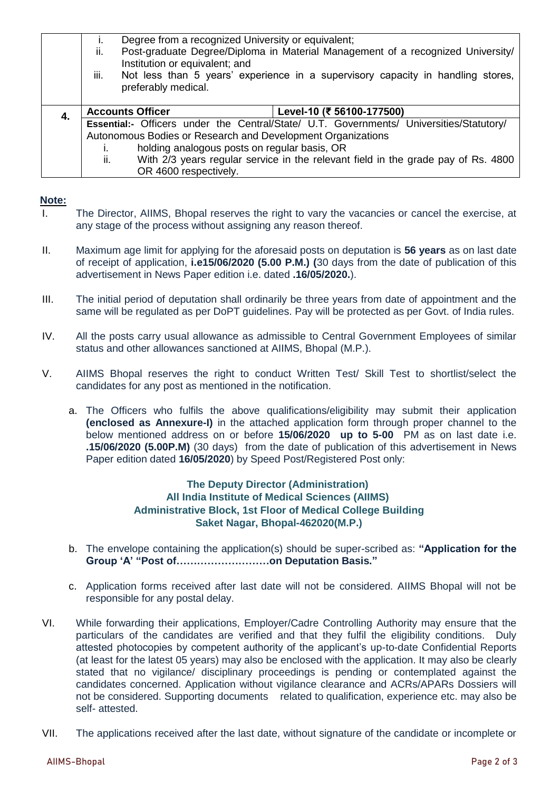|    | Degree from a recognized University or equivalent;<br>I.<br>Post-graduate Degree/Diploma in Material Management of a recognized University/<br>ii.<br>Institution or equivalent; and<br>iii.<br>Not less than 5 years' experience in a supervisory capacity in handling stores,<br>preferably medical. |                                                                                         |  |
|----|--------------------------------------------------------------------------------------------------------------------------------------------------------------------------------------------------------------------------------------------------------------------------------------------------------|-----------------------------------------------------------------------------------------|--|
| 4. | <b>Accounts Officer</b>                                                                                                                                                                                                                                                                                | Level-10 (₹ 56100-177500)                                                               |  |
|    |                                                                                                                                                                                                                                                                                                        | Essential:- Officers under the Central/State/ U.T. Governments/ Universities/Statutory/ |  |
|    | Autonomous Bodies or Research and Development Organizations                                                                                                                                                                                                                                            |                                                                                         |  |
|    | holding analogous posts on regular basis, OR                                                                                                                                                                                                                                                           |                                                                                         |  |
|    | With 2/3 years regular service in the relevant field in the grade pay of Rs. 4800<br>ii.                                                                                                                                                                                                               |                                                                                         |  |
|    | OR 4600 respectively.                                                                                                                                                                                                                                                                                  |                                                                                         |  |

#### **Note:**

- I. The Director, AIIMS, Bhopal reserves the right to vary the vacancies or cancel the exercise, at any stage of the process without assigning any reason thereof.
- II. Maximum age limit for applying for the aforesaid posts on deputation is **56 years** as on last date of receipt of application, **i.e15/06/2020 (5.00 P.M.) (**30 days from the date of publication of this advertisement in News Paper edition i.e. dated **.16/05/2020.**).
- III. The initial period of deputation shall ordinarily be three years from date of appointment and the same will be regulated as per DoPT guidelines. Pay will be protected as per Govt. of India rules.
- IV. All the posts carry usual allowance as admissible to Central Government Employees of similar status and other allowances sanctioned at AIIMS, Bhopal (M.P.).
- V. AIIMS Bhopal reserves the right to conduct Written Test/ Skill Test to shortlist/select the candidates for any post as mentioned in the notification.
	- a. The Officers who fulfils the above qualifications/eligibility may submit their application **(enclosed as Annexure-I)** in the attached application form through proper channel to the below mentioned address on or before **15/06/2020 up to 5-00** PM as on last date i.e. **.15/06/2020 (5.00P.M)** (30 days) from the date of publication of this advertisement in News Paper edition dated **16/05/2020**) by Speed Post/Registered Post only:

## **The Deputy Director (Administration) All India Institute of Medical Sciences (AIIMS) Administrative Block, 1st Floor of Medical College Building Saket Nagar, Bhopal-462020(M.P.)**

- b. The envelope containing the application(s) should be super-scribed as: **"Application for the Group 'A' "Post of………………………on Deputation Basis."**
- c. Application forms received after last date will not be considered. AIIMS Bhopal will not be responsible for any postal delay.
- VI. While forwarding their applications, Employer/Cadre Controlling Authority may ensure that the particulars of the candidates are verified and that they fulfil the eligibility conditions. Duly attested photocopies by competent authority of the applicant's up-to-date Confidential Reports (at least for the latest 05 years) may also be enclosed with the application. It may also be clearly stated that no vigilance/ disciplinary proceedings is pending or contemplated against the candidates concerned. Application without vigilance clearance and ACRs/APARs Dossiers will not be considered. Supporting documents related to qualification, experience etc. may also be self- attested.
- VII. The applications received after the last date, without signature of the candidate or incomplete or